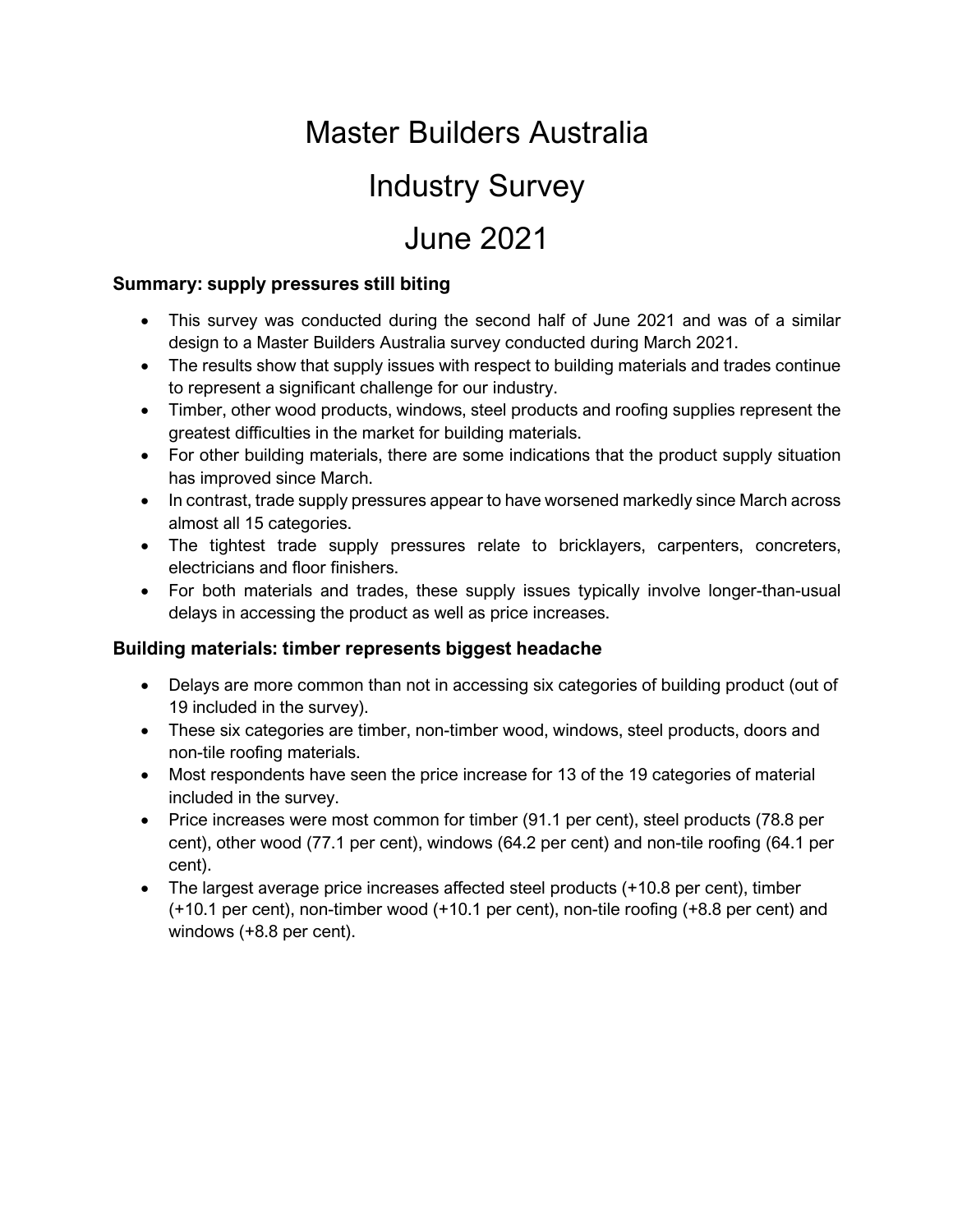# Master Builders Australia

### Industry Survey

## June 2021

#### **Summary: supply pressures still biting**

- This survey was conducted during the second half of June 2021 and was of a similar design to a Master Builders Australia survey conducted during March 2021.
- The results show that supply issues with respect to building materials and trades continue to represent a significant challenge for our industry.
- Timber, other wood products, windows, steel products and roofing supplies represent the greatest difficulties in the market for building materials.
- For other building materials, there are some indications that the product supply situation has improved since March.
- In contrast, trade supply pressures appear to have worsened markedly since March across almost all 15 categories.
- The tightest trade supply pressures relate to bricklayers, carpenters, concreters, electricians and floor finishers.
- For both materials and trades, these supply issues typically involve longer-than-usual delays in accessing the product as well as price increases.

#### **Building materials: timber represents biggest headache**

- Delays are more common than not in accessing six categories of building product (out of 19 included in the survey).
- These six categories are timber, non-timber wood, windows, steel products, doors and non-tile roofing materials.
- Most respondents have seen the price increase for 13 of the 19 categories of material included in the survey.
- Price increases were most common for timber (91.1 per cent), steel products (78.8 per cent), other wood (77.1 per cent), windows (64.2 per cent) and non-tile roofing (64.1 per cent).
- The largest average price increases affected steel products (+10.8 per cent), timber (+10.1 per cent), non-timber wood (+10.1 per cent), non-tile roofing (+8.8 per cent) and windows (+8.8 per cent).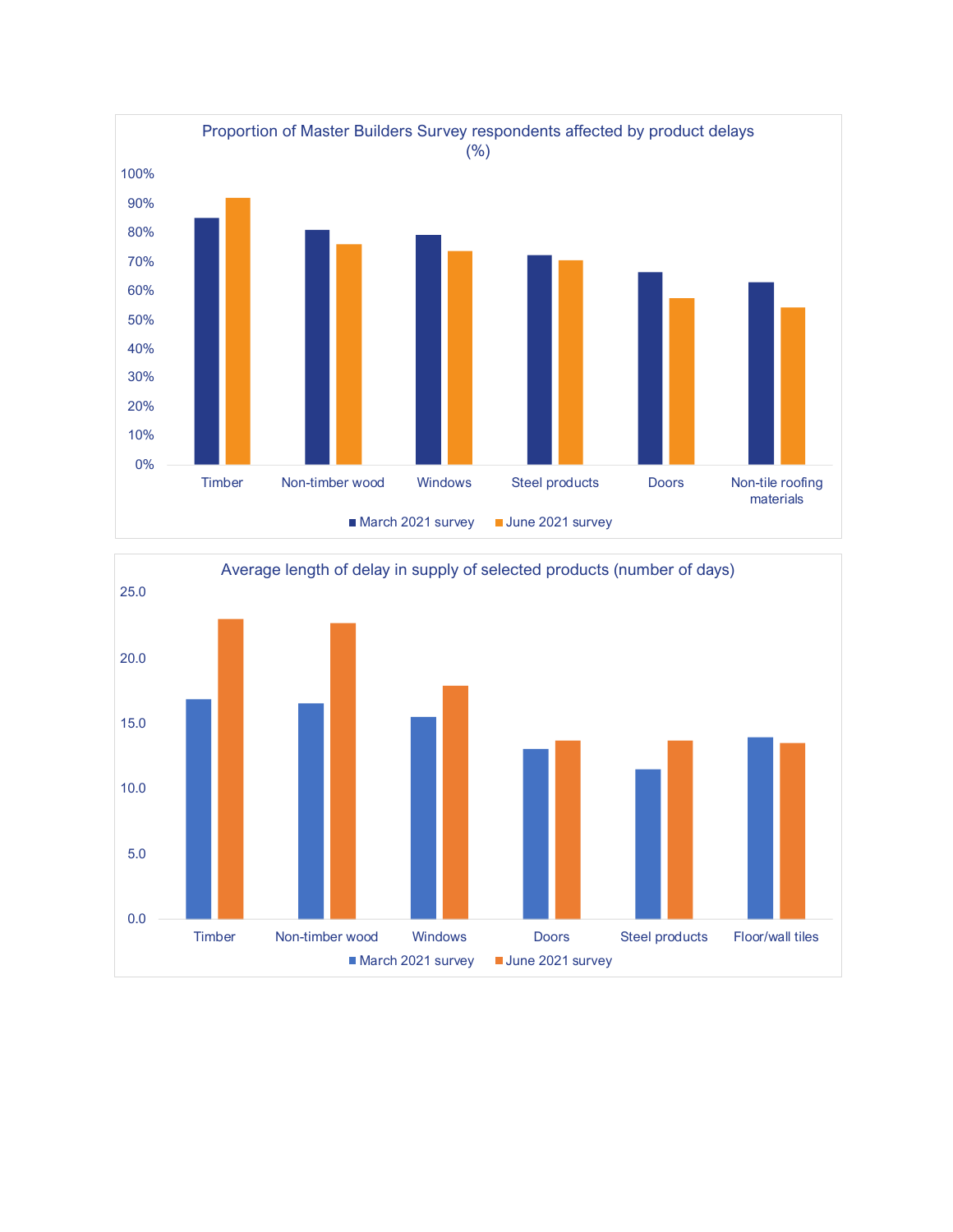

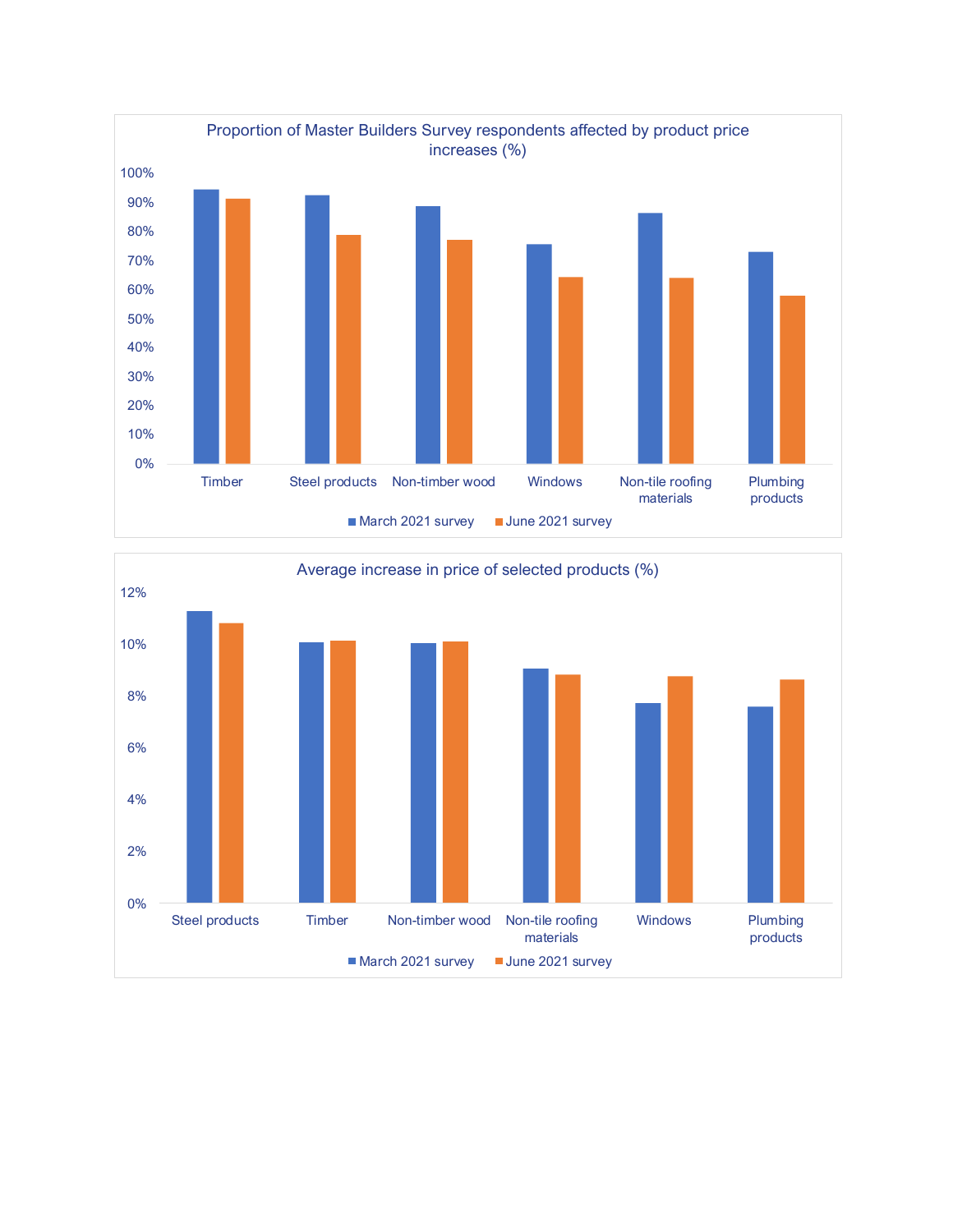

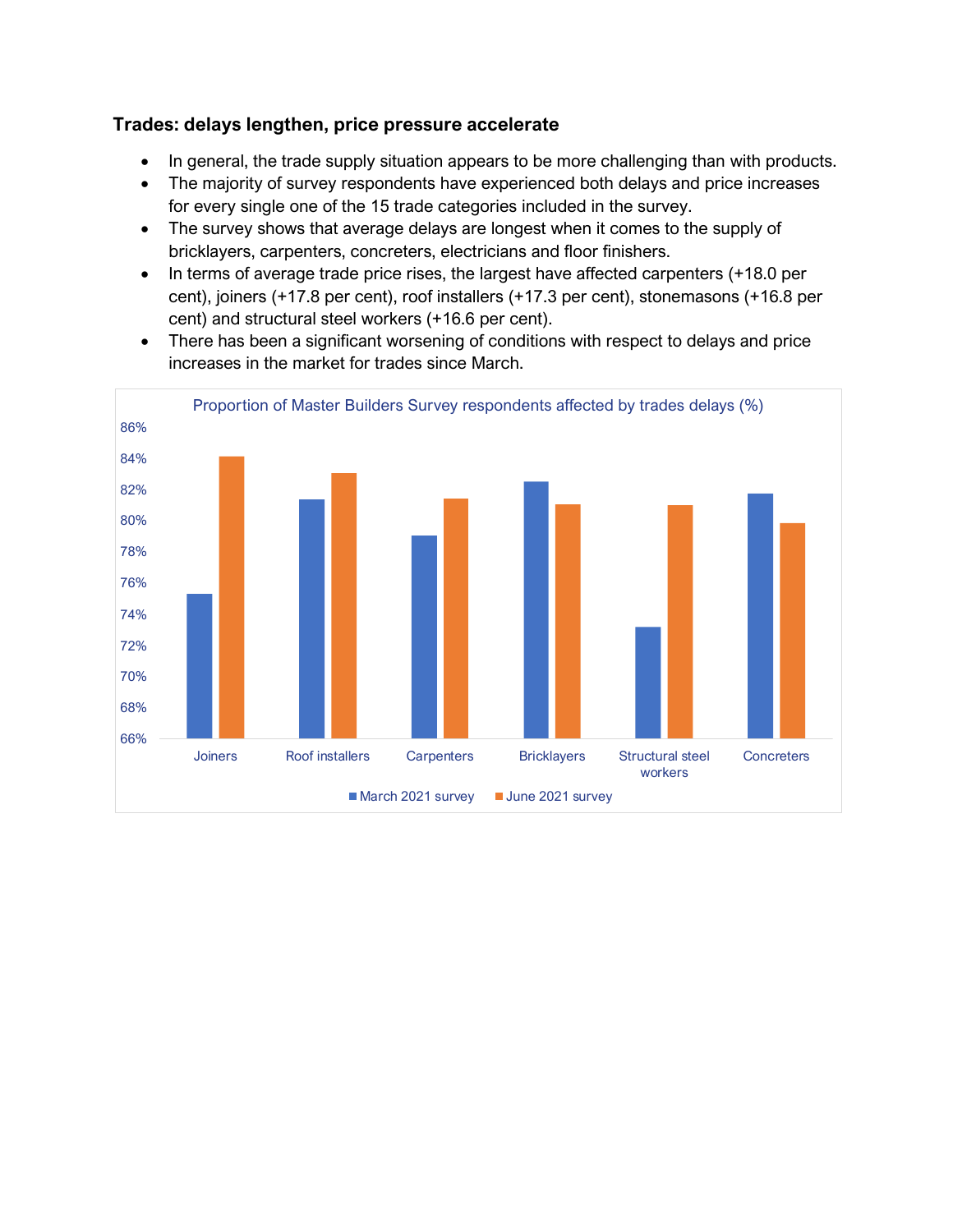#### **Trades: delays lengthen, price pressure accelerate**

- In general, the trade supply situation appears to be more challenging than with products.
- The majority of survey respondents have experienced both delays and price increases for every single one of the 15 trade categories included in the survey.
- The survey shows that average delays are longest when it comes to the supply of bricklayers, carpenters, concreters, electricians and floor finishers.
- In terms of average trade price rises, the largest have affected carpenters (+18.0 per cent), joiners (+17.8 per cent), roof installers (+17.3 per cent), stonemasons (+16.8 per cent) and structural steel workers (+16.6 per cent).
- There has been a significant worsening of conditions with respect to delays and price increases in the market for trades since March.

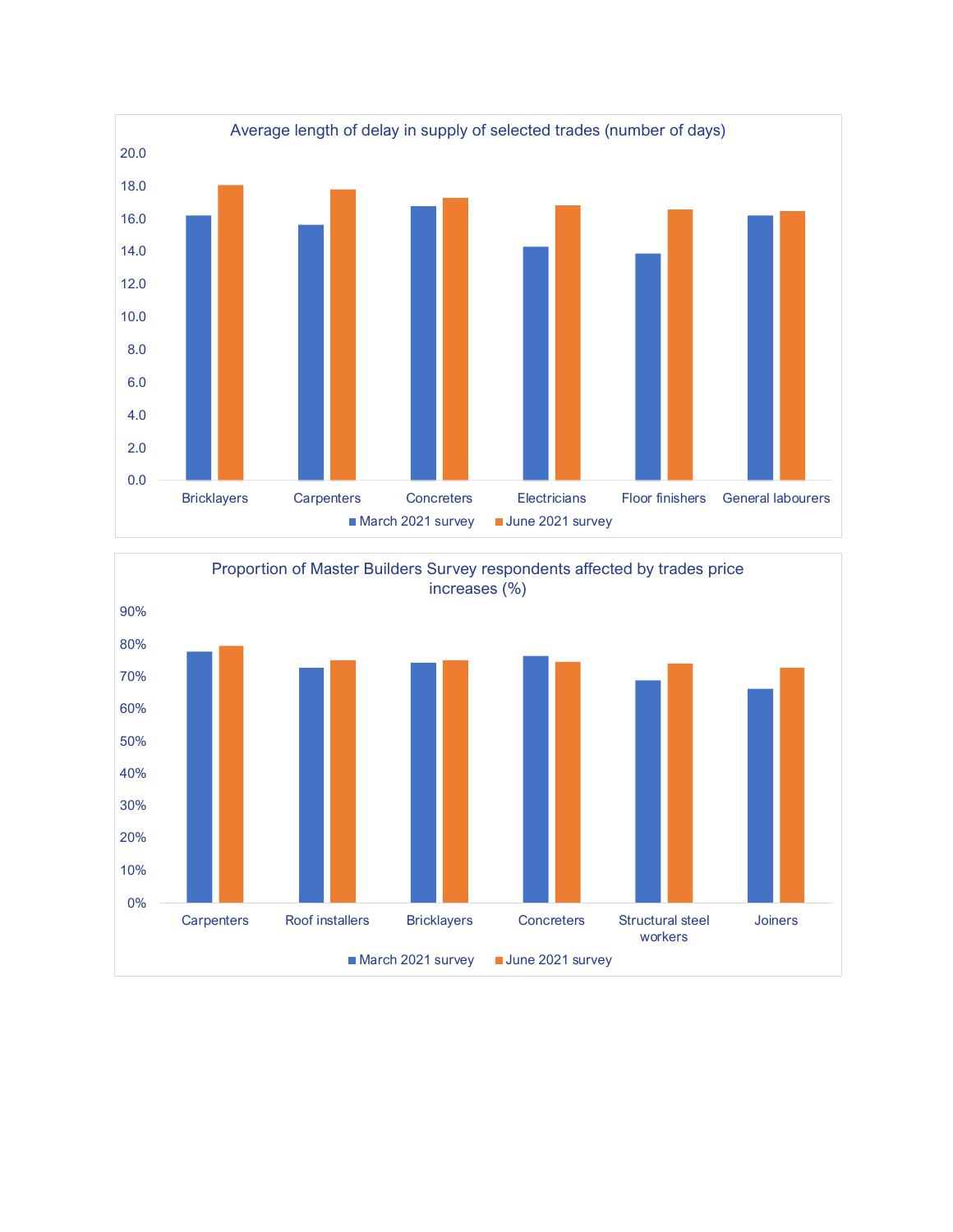

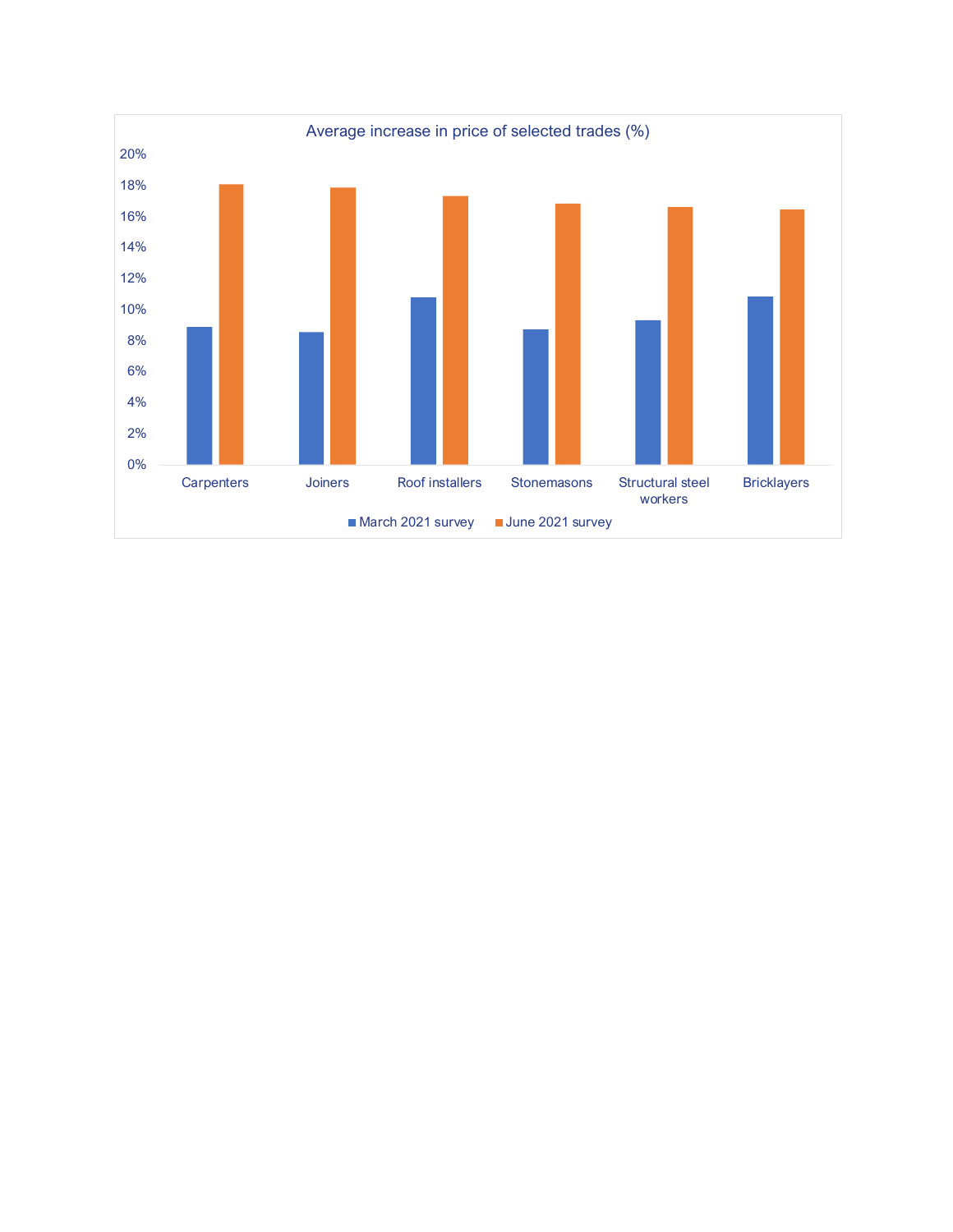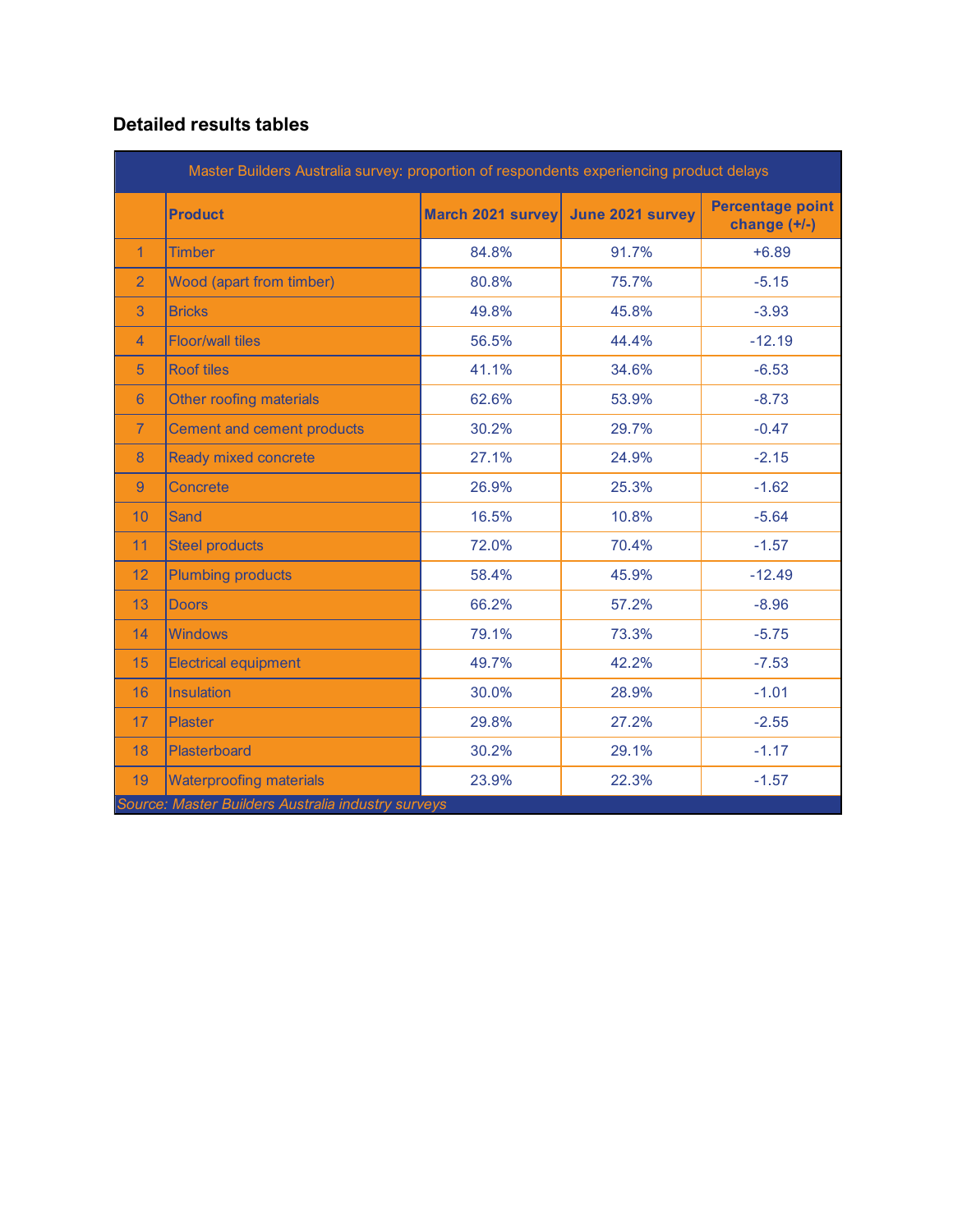### **Detailed results tables**

| Master Builders Australia survey: proportion of respondents experiencing product delays |                                                    |                   |                  |                                           |
|-----------------------------------------------------------------------------------------|----------------------------------------------------|-------------------|------------------|-------------------------------------------|
|                                                                                         | <b>Product</b>                                     | March 2021 survey | June 2021 survey | <b>Percentage point</b><br>change $(+/-)$ |
| $\mathbf{1}$                                                                            | <b>Timber</b>                                      | 84.8%             | 91.7%            | $+6.89$                                   |
| $\overline{2}$                                                                          | Wood (apart from timber)                           | 80.8%             | 75.7%            | $-5.15$                                   |
| 3                                                                                       | <b>Bricks</b>                                      | 49.8%             | 45.8%            | $-3.93$                                   |
| 4                                                                                       | <b>Floor/wall tiles</b>                            | 56.5%             | 44.4%            | $-12.19$                                  |
| 5                                                                                       | <b>Roof tiles</b>                                  | 41.1%             | 34.6%            | $-6.53$                                   |
| 6                                                                                       | Other roofing materials                            | 62.6%             | 53.9%            | $-8.73$                                   |
| $\overline{7}$                                                                          | <b>Cement and cement products</b>                  | 30.2%             | 29.7%            | $-0.47$                                   |
| 8                                                                                       | <b>Ready mixed concrete</b>                        | 27.1%             | 24.9%            | $-2.15$                                   |
| 9                                                                                       | Concrete                                           | 26.9%             | 25.3%            | $-1.62$                                   |
| 10                                                                                      | Sand                                               | 16.5%             | 10.8%            | $-5.64$                                   |
| 11                                                                                      | <b>Steel products</b>                              | 72.0%             | 70.4%            | $-1.57$                                   |
| 12                                                                                      | <b>Plumbing products</b>                           | 58.4%             | 45.9%            | $-12.49$                                  |
| 13                                                                                      | <b>Doors</b>                                       | 66.2%             | 57.2%            | $-8.96$                                   |
| 14                                                                                      | <b>Windows</b>                                     | 79.1%             | 73.3%            | $-5.75$                                   |
| 15                                                                                      | <b>Electrical equipment</b>                        | 49.7%             | 42.2%            | $-7.53$                                   |
| 16                                                                                      | Insulation                                         | 30.0%             | 28.9%            | $-1.01$                                   |
| 17                                                                                      | <b>Plaster</b>                                     | 29.8%             | 27.2%            | $-2.55$                                   |
| 18                                                                                      | Plasterboard                                       | 30.2%             | 29.1%            | $-1.17$                                   |
| 19                                                                                      | <b>Waterproofing materials</b>                     | 23.9%             | 22.3%            | $-1.57$                                   |
|                                                                                         | Source: Master Builders Australia industry surveys |                   |                  |                                           |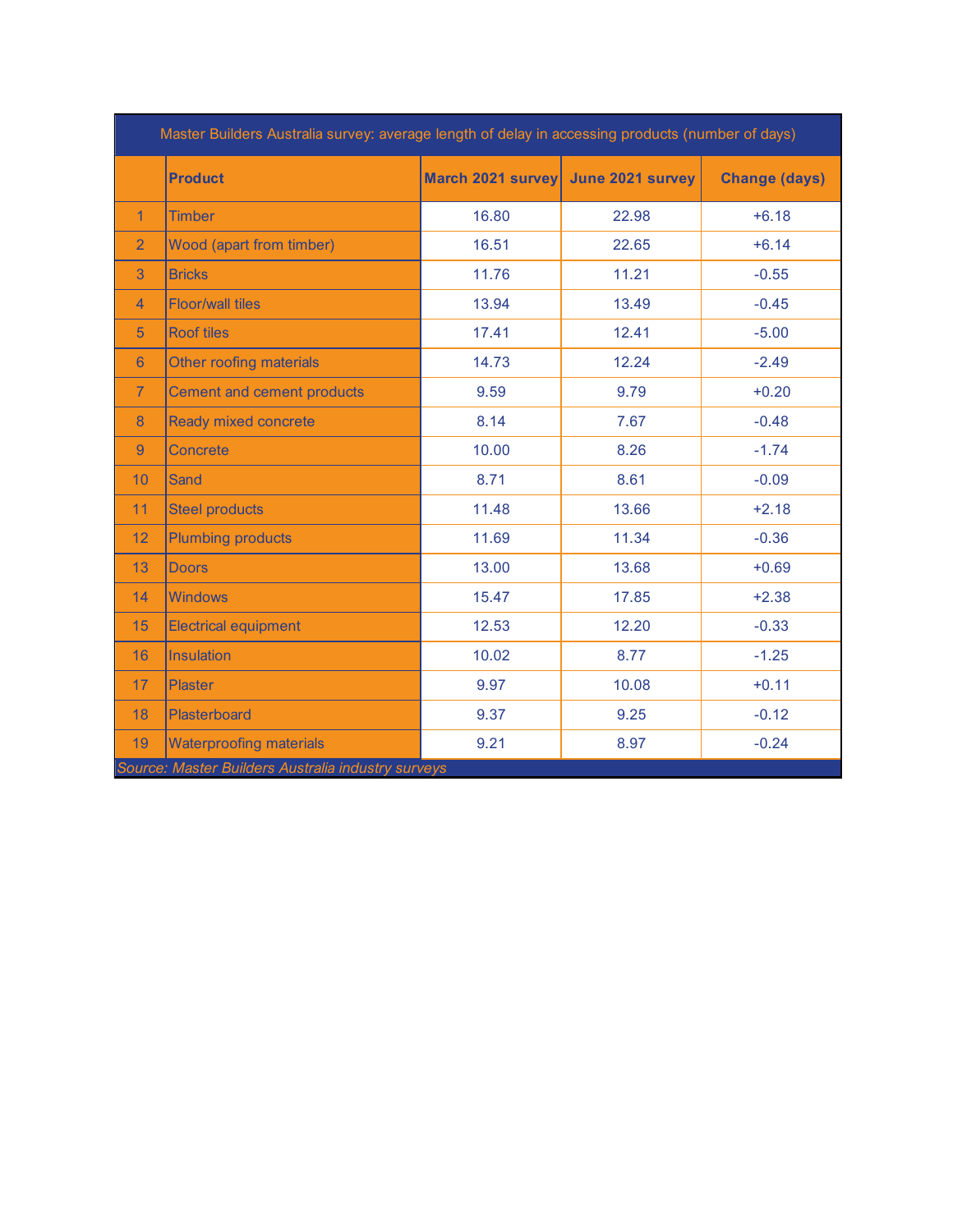|                | <b>Product</b>                    | March 2021 survey June 2021 survey |       | <b>Change (days)</b> |
|----------------|-----------------------------------|------------------------------------|-------|----------------------|
| $\mathbf{1}$   | <b>Timber</b>                     | 16.80                              | 22.98 | $+6.18$              |
| $\overline{2}$ | <b>Wood (apart from timber)</b>   | 16.51                              | 22.65 | $+6.14$              |
| 3              | <b>Bricks</b>                     | 11.76                              | 11.21 | $-0.55$              |
| $\overline{4}$ | <b>Floor/wall tiles</b>           | 13.94                              | 13.49 | $-0.45$              |
| 5 <sup>5</sup> | <b>Roof tiles</b>                 | 17.41                              | 12.41 | $-5.00$              |
| 6              | <b>Other roofing materials</b>    | 14.73                              | 12.24 | $-2.49$              |
| $\overline{7}$ | <b>Cement and cement products</b> | 9.59                               | 9.79  | $+0.20$              |
| 8              | <b>Ready mixed concrete</b>       | 8.14                               | 7.67  | $-0.48$              |
| $\overline{9}$ | Concrete                          | 10.00                              | 8.26  | $-1.74$              |
| 10             | Sand                              | 8.71                               | 8.61  | $-0.09$              |
| 11             | <b>Steel products</b>             | 11.48                              | 13.66 | $+2.18$              |
| 12             | <b>Plumbing products</b>          | 11.69                              | 11.34 | $-0.36$              |
| 13             | <b>Doors</b>                      | 13.00                              | 13.68 | $+0.69$              |
| 14             | <b>Windows</b>                    | 15.47                              | 17.85 | $+2.38$              |
| 15             | <b>Electrical equipment</b>       | 12.53                              | 12.20 | $-0.33$              |
| 16             | <b>Insulation</b>                 | 10.02                              | 8.77  | $-1.25$              |
| 17             | <b>Plaster</b>                    | 9.97                               | 10.08 | $+0.11$              |
| 18             | Plasterboard                      | 9.37                               | 9.25  | $-0.12$              |
| 19             | <b>Waterproofing materials</b>    | 9.21                               | 8.97  | $-0.24$              |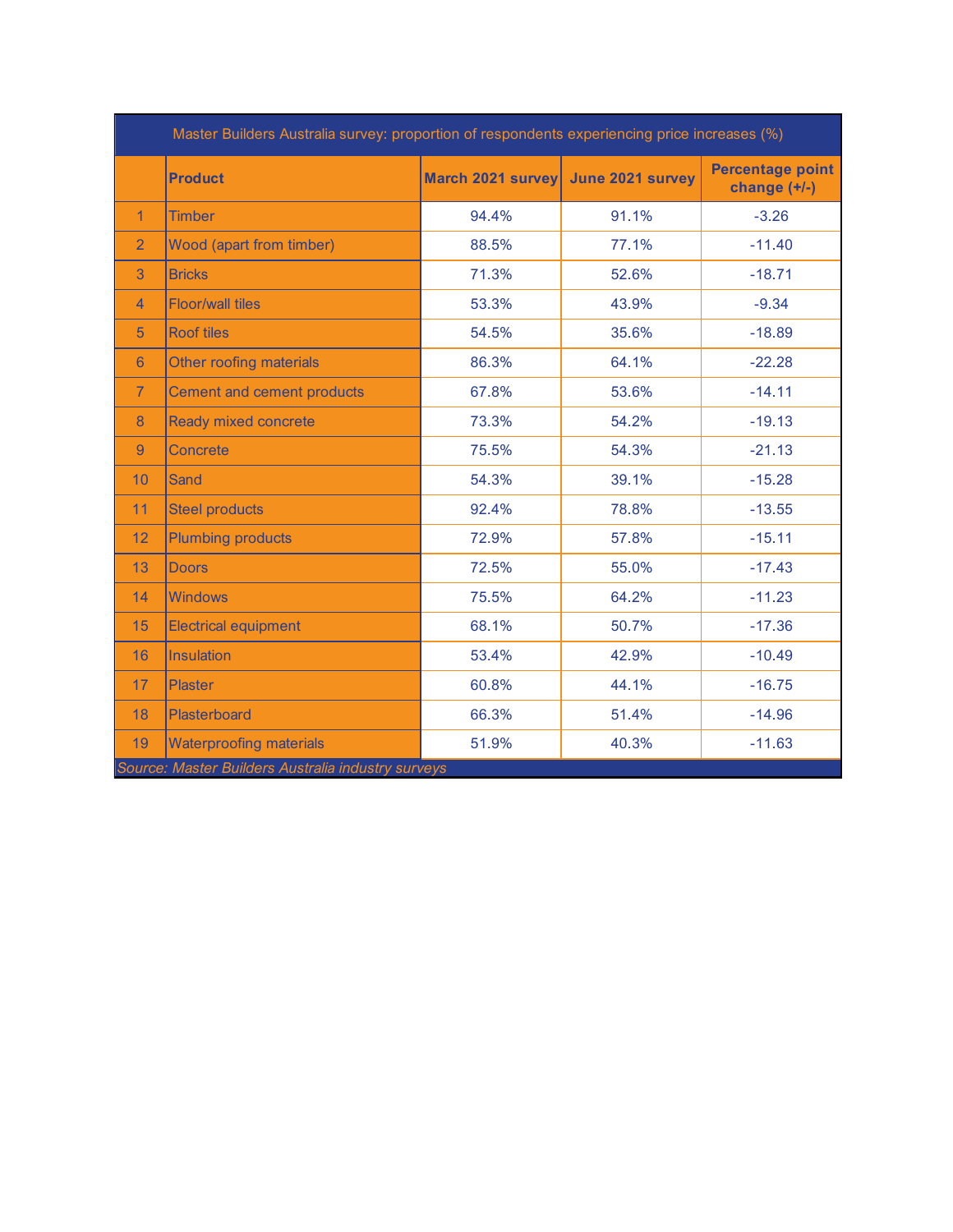|                | <b>Product</b>                  | March 2021 survey June 2021 survey |       | Percentage point<br>change $(+/-)$ |
|----------------|---------------------------------|------------------------------------|-------|------------------------------------|
| $\mathbf{1}$   | <b>Timber</b>                   | 94.4%                              | 91.1% | $-3.26$                            |
| $\overline{2}$ | <b>Wood (apart from timber)</b> | 88.5%                              | 77.1% | $-11.40$                           |
| 3              | <b>Bricks</b>                   | 71.3%                              | 52.6% | $-18.71$                           |
| $\overline{4}$ | <b>Floor/wall tiles</b>         | 53.3%                              | 43.9% | $-9.34$                            |
| 5              | <b>Roof tiles</b>               | 54.5%                              | 35.6% | $-18.89$                           |
| 6              | <b>Other roofing materials</b>  | 86.3%                              | 64.1% | $-22.28$                           |
| $\overline{7}$ | Cement and cement products      | 67.8%                              | 53.6% | $-14.11$                           |
| 8              | <b>Ready mixed concrete</b>     | 73.3%                              | 54.2% | $-19.13$                           |
| $\overline{9}$ | Concrete                        | 75.5%                              | 54.3% | $-21.13$                           |
| 10             | <b>Sand</b>                     | 54.3%                              | 39.1% | $-15.28$                           |
| 11             | <b>Steel products</b>           | 92.4%                              | 78.8% | $-13.55$                           |
| 12             | <b>Plumbing products</b>        | 72.9%                              | 57.8% | $-15.11$                           |
| 13             | <b>Doors</b>                    | 72.5%                              | 55.0% | $-17.43$                           |
| 14             | <b>Windows</b>                  | 75.5%                              | 64.2% | $-11.23$                           |
| 15             | <b>Electrical equipment</b>     | 68.1%                              | 50.7% | $-17.36$                           |
| 16             | <b>Insulation</b>               | 53.4%                              | 42.9% | $-10.49$                           |
| 17             | Plaster                         | 60.8%                              | 44.1% | $-16.75$                           |
| 18             | Plasterboard                    | 66.3%                              | 51.4% | $-14.96$                           |
| 19             | <b>Waterproofing materials</b>  | 51.9%                              | 40.3% | $-11.63$                           |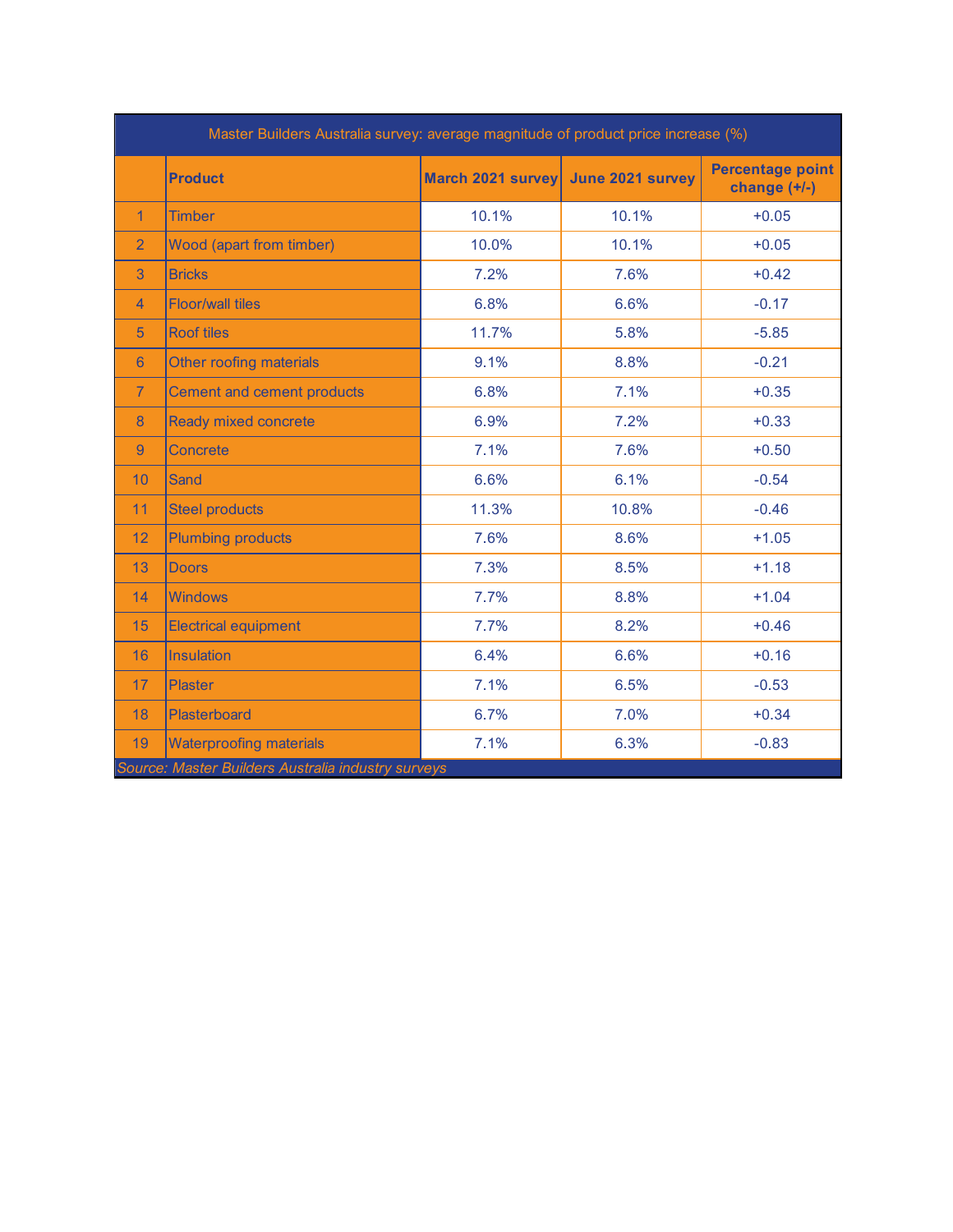| Master Builders Australia survey: average magnitude of product price increase (%) |                                   |                                    |       |                                           |
|-----------------------------------------------------------------------------------|-----------------------------------|------------------------------------|-------|-------------------------------------------|
|                                                                                   | <b>Product</b>                    | March 2021 survey June 2021 survey |       | <b>Percentage point</b><br>change $(+/-)$ |
| $\blacktriangleleft$                                                              | <b>Timber</b>                     | 10.1%                              | 10.1% | $+0.05$                                   |
| $\overline{2}$                                                                    | <b>Wood (apart from timber)</b>   | 10.0%                              | 10.1% | $+0.05$                                   |
| 3                                                                                 | <b>Bricks</b>                     | 7.2%                               | 7.6%  | $+0.42$                                   |
| $\overline{4}$                                                                    | <b>Floor/wall tiles</b>           | 6.8%                               | 6.6%  | $-0.17$                                   |
| 5                                                                                 | <b>Roof tiles</b>                 | 11.7%                              | 5.8%  | $-5.85$                                   |
| 6                                                                                 | <b>Other roofing materials</b>    | 9.1%                               | 8.8%  | $-0.21$                                   |
| $\overline{7}$                                                                    | <b>Cement and cement products</b> | 6.8%                               | 7.1%  | $+0.35$                                   |
| 8                                                                                 | <b>Ready mixed concrete</b>       | 6.9%                               | 7.2%  | $+0.33$                                   |
| 9                                                                                 | <b>Concrete</b>                   | 7.1%                               | 7.6%  | $+0.50$                                   |
| 10                                                                                | <b>Sand</b>                       | 6.6%                               | 6.1%  | $-0.54$                                   |
| 11                                                                                | <b>Steel products</b>             | 11.3%                              | 10.8% | $-0.46$                                   |
| 12                                                                                | <b>Plumbing products</b>          | 7.6%                               | 8.6%  | $+1.05$                                   |
| 13                                                                                | <b>Doors</b>                      | 7.3%                               | 8.5%  | $+1.18$                                   |
| 14                                                                                | <b>Windows</b>                    | 7.7%                               | 8.8%  | $+1.04$                                   |
| 15                                                                                | <b>Electrical equipment</b>       | 7.7%                               | 8.2%  | $+0.46$                                   |
| 16                                                                                | <b>Insulation</b>                 | 6.4%                               | 6.6%  | $+0.16$                                   |
| 17                                                                                | <b>Plaster</b>                    | 7.1%                               | 6.5%  | $-0.53$                                   |
| 18                                                                                | Plasterboard                      | 6.7%                               | 7.0%  | $+0.34$                                   |
| 19                                                                                | <b>Waterproofing materials</b>    | 7.1%                               | 6.3%  | $-0.83$                                   |
| Source: Master Builders Australia industry surveys                                |                                   |                                    |       |                                           |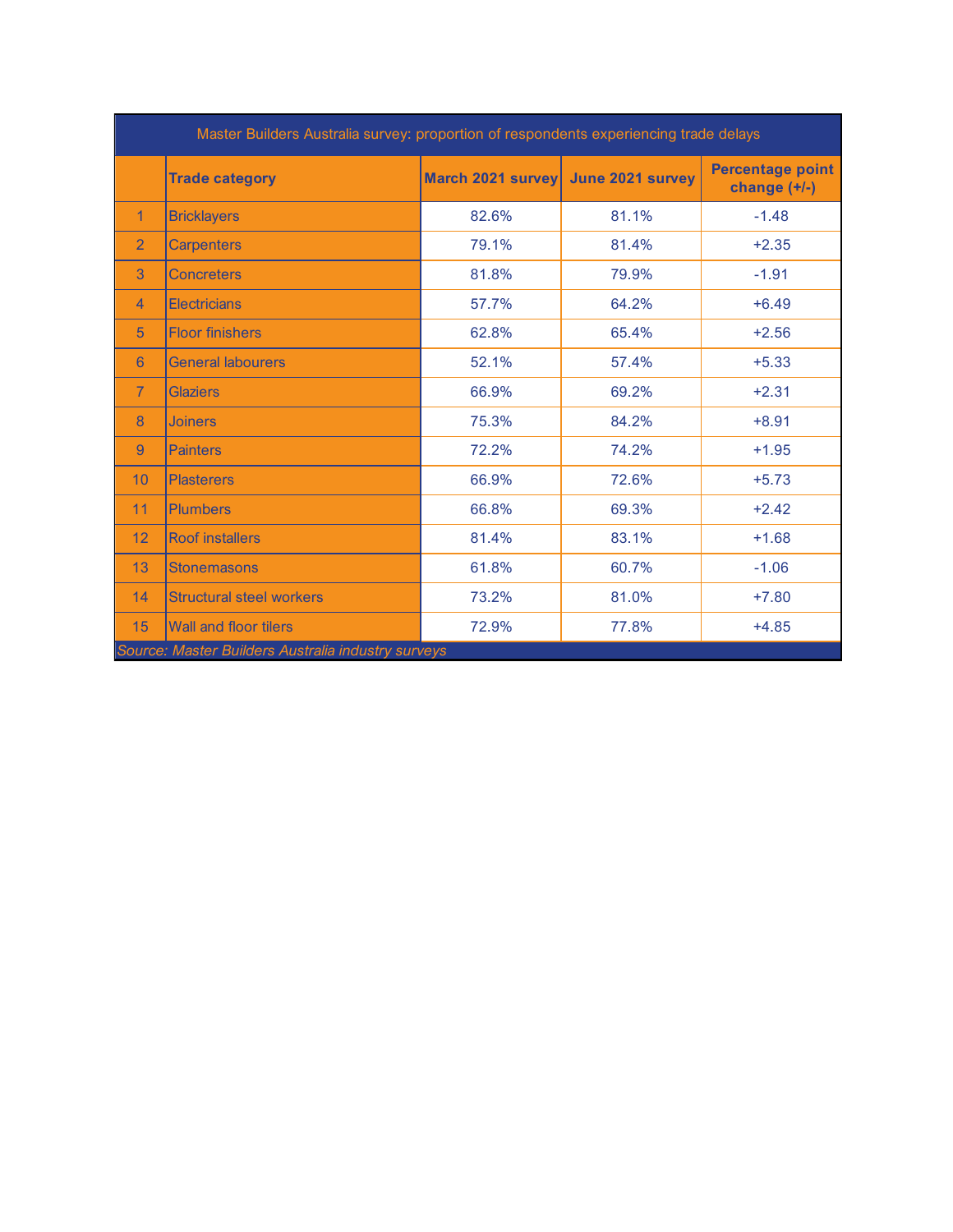| Master Builders Australia survey: proportion of respondents experiencing trade delays |                                 |                   |                  |                                           |  |
|---------------------------------------------------------------------------------------|---------------------------------|-------------------|------------------|-------------------------------------------|--|
|                                                                                       | <b>Trade category</b>           | March 2021 survey | June 2021 survey | <b>Percentage point</b><br>change $(+/-)$ |  |
| 1                                                                                     | <b>Bricklayers</b>              | 82.6%             | 81.1%            | $-1.48$                                   |  |
| $\overline{2}$                                                                        | <b>Carpenters</b>               | 79.1%             | 81.4%            | $+2.35$                                   |  |
| 3                                                                                     | <b>Concreters</b>               | 81.8%             | 79.9%            | $-1.91$                                   |  |
| $\overline{4}$                                                                        | <b>Electricians</b>             | 57.7%             | 64.2%            | $+6.49$                                   |  |
| 5                                                                                     | <b>Floor finishers</b>          | 62.8%             | 65.4%            | $+2.56$                                   |  |
| 6                                                                                     | <b>General labourers</b>        | 52.1%             | 57.4%            | $+5.33$                                   |  |
| $\overline{7}$                                                                        | <b>Glaziers</b>                 | 66.9%             | 69.2%            | $+2.31$                                   |  |
| 8                                                                                     | <b>Joiners</b>                  | 75.3%             | 84.2%            | $+8.91$                                   |  |
| 9                                                                                     | <b>Painters</b>                 | 72.2%             | 74.2%            | $+1.95$                                   |  |
| 10                                                                                    | <b>Plasterers</b>               | 66.9%             | 72.6%            | $+5.73$                                   |  |
| 11                                                                                    | <b>Plumbers</b>                 | 66.8%             | 69.3%            | $+2.42$                                   |  |
| 12                                                                                    | <b>Roof installers</b>          | 81.4%             | 83.1%            | $+1.68$                                   |  |
| 13                                                                                    | <b>Stonemasons</b>              | 61.8%             | 60.7%            | $-1.06$                                   |  |
| 14                                                                                    | <b>Structural steel workers</b> | 73.2%             | 81.0%            | $+7.80$                                   |  |
| 15                                                                                    | <b>Wall and floor tilers</b>    | 72.9%             | 77.8%            | $+4.85$                                   |  |
| Source: Master Builders Australia industry surveys                                    |                                 |                   |                  |                                           |  |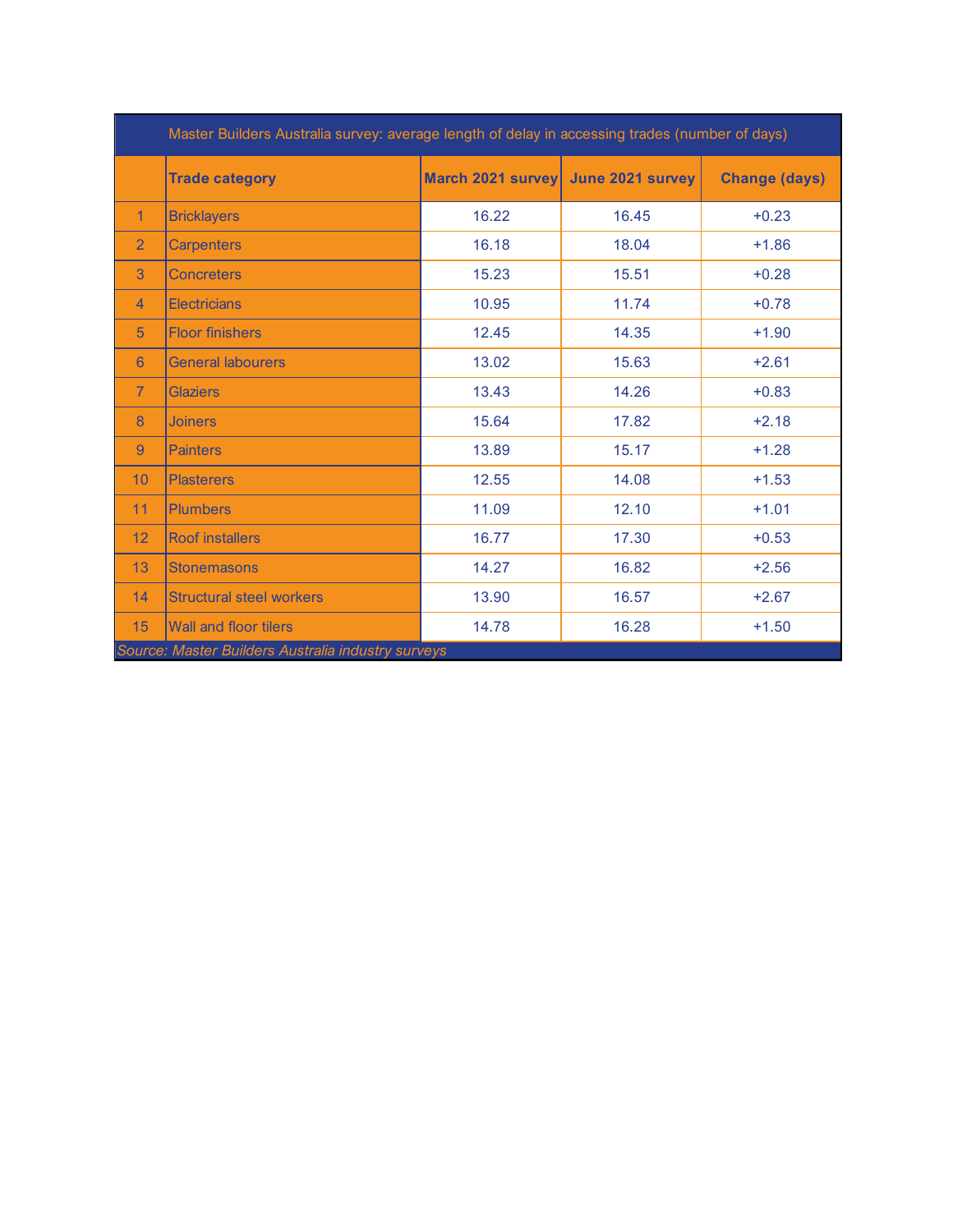|                                                    | Master Builders Australia survey: average length of delay in accessing trades (number of days) |                   |                  |                      |  |
|----------------------------------------------------|------------------------------------------------------------------------------------------------|-------------------|------------------|----------------------|--|
|                                                    | <b>Trade category</b>                                                                          | March 2021 survey | June 2021 survey | <b>Change (days)</b> |  |
| 1                                                  | <b>Bricklayers</b>                                                                             | 16.22             | 16.45            | $+0.23$              |  |
| $\overline{2}$                                     | <b>Carpenters</b>                                                                              | 16.18             | 18.04            | $+1.86$              |  |
| 3                                                  | <b>Concreters</b>                                                                              | 15.23             | 15.51            | $+0.28$              |  |
| $\overline{4}$                                     | <b>Electricians</b>                                                                            | 10.95             | 11.74            | $+0.78$              |  |
| 5                                                  | <b>Floor finishers</b>                                                                         | 12.45             | 14.35            | $+1.90$              |  |
| 6                                                  | <b>General labourers</b>                                                                       | 13.02             | 15.63            | $+2.61$              |  |
| $\overline{7}$                                     | <b>Glaziers</b>                                                                                | 13.43             | 14.26            | $+0.83$              |  |
| 8                                                  | <b>Joiners</b>                                                                                 | 15.64             | 17.82            | $+2.18$              |  |
| 9                                                  | <b>Painters</b>                                                                                | 13.89             | 15.17            | $+1.28$              |  |
| 10                                                 | <b>Plasterers</b>                                                                              | 12.55             | 14.08            | $+1.53$              |  |
| 11                                                 | <b>Plumbers</b>                                                                                | 11.09             | 12.10            | $+1.01$              |  |
| 12                                                 | <b>Roof installers</b>                                                                         | 16.77             | 17.30            | $+0.53$              |  |
| 13                                                 | <b>Stonemasons</b>                                                                             | 14.27             | 16.82            | $+2.56$              |  |
| 14                                                 | <b>Structural steel workers</b>                                                                | 13.90             | 16.57            | $+2.67$              |  |
| 15                                                 | <b>Wall and floor tilers</b>                                                                   | 14.78             | 16.28            | $+1.50$              |  |
| Source: Master Builders Australia industry surveys |                                                                                                |                   |                  |                      |  |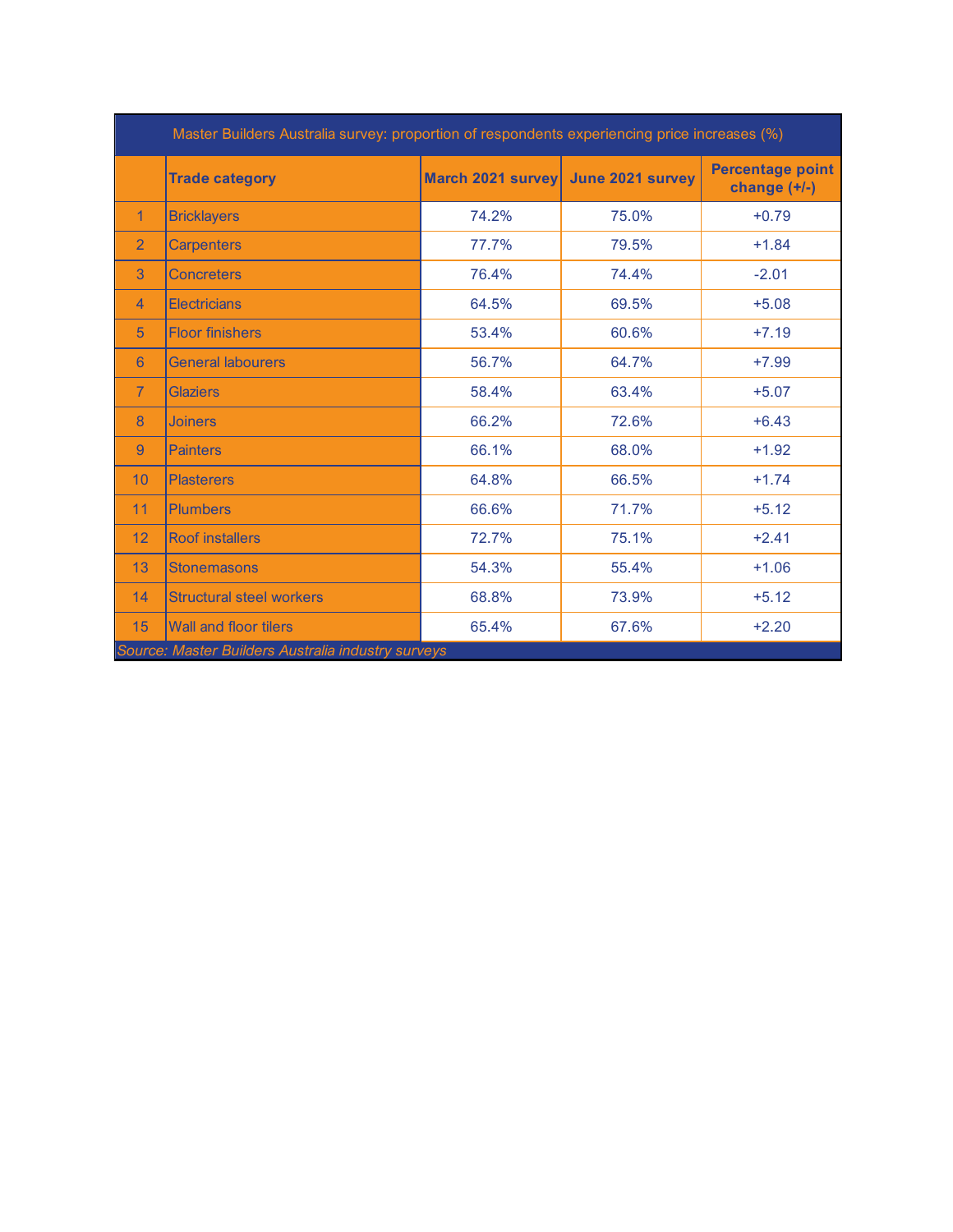|                                                    | Master Builders Australia survey: proportion of respondents experiencing price increases (%) |                   |                  |                                           |  |
|----------------------------------------------------|----------------------------------------------------------------------------------------------|-------------------|------------------|-------------------------------------------|--|
|                                                    | <b>Trade category</b>                                                                        | March 2021 survey | June 2021 survey | <b>Percentage point</b><br>change $(+/-)$ |  |
| 1                                                  | <b>Bricklayers</b>                                                                           | 74.2%             | 75.0%            | $+0.79$                                   |  |
| $\overline{2}$                                     | <b>Carpenters</b>                                                                            | 77.7%             | 79.5%            | $+1.84$                                   |  |
| 3                                                  | <b>Concreters</b>                                                                            | 76.4%             | 74.4%            | $-2.01$                                   |  |
| 4                                                  | <b>Electricians</b>                                                                          | 64.5%             | 69.5%            | $+5.08$                                   |  |
| 5                                                  | <b>Floor finishers</b>                                                                       | 53.4%             | 60.6%            | $+7.19$                                   |  |
| $6\phantom{1}6$                                    | <b>General labourers</b>                                                                     | 56.7%             | 64.7%            | $+7.99$                                   |  |
| $\overline{7}$                                     | <b>Glaziers</b>                                                                              | 58.4%             | 63.4%            | $+5.07$                                   |  |
| 8                                                  | <b>Joiners</b>                                                                               | 66.2%             | 72.6%            | $+6.43$                                   |  |
| 9                                                  | <b>Painters</b>                                                                              | 66.1%             | 68.0%            | $+1.92$                                   |  |
| 10                                                 | <b>Plasterers</b>                                                                            | 64.8%             | 66.5%            | $+1.74$                                   |  |
| 11                                                 | <b>Plumbers</b>                                                                              | 66.6%             | 71.7%            | $+5.12$                                   |  |
| 12                                                 | <b>Roof installers</b>                                                                       | 72.7%             | 75.1%            | $+2.41$                                   |  |
| 13                                                 | <b>Stonemasons</b>                                                                           | 54.3%             | 55.4%            | $+1.06$                                   |  |
| 14                                                 | <b>Structural steel workers</b>                                                              | 68.8%             | 73.9%            | $+5.12$                                   |  |
| 15                                                 | <b>Wall and floor tilers</b>                                                                 | 65.4%             | 67.6%            | $+2.20$                                   |  |
| Source: Master Builders Australia industry surveys |                                                                                              |                   |                  |                                           |  |